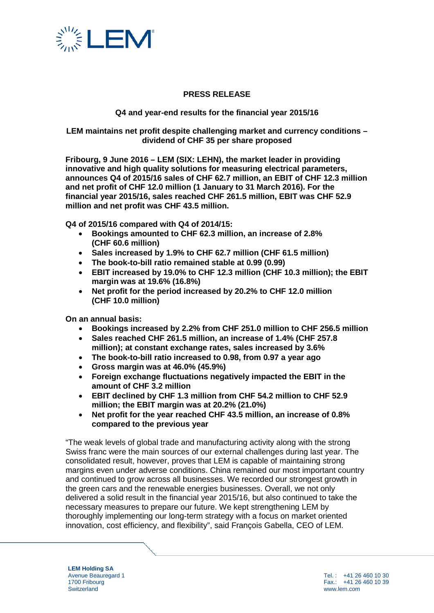

## **PRESS RELEASE**

#### **Q4 and year-end results for the financial year 2015/16**

**LEM maintains net profit despite challenging market and currency conditions – dividend of CHF 35 per share proposed**

**Fribourg, 9 June 2016 – LEM (SIX: LEHN), the market leader in providing innovative and high quality solutions for measuring electrical parameters, announces Q4 of 2015/16 sales of CHF 62.7 million, an EBIT of CHF 12.3 million and net profit of CHF 12.0 million (1 January to 31 March 2016). For the financial year 2015/16, sales reached CHF 261.5 million, EBIT was CHF 52.9 million and net profit was CHF 43.5 million.**

**Q4 of 2015/16 compared with Q4 of 2014/15:** 

- **Bookings amounted to CHF 62.3 million, an increase of 2.8% (CHF 60.6 million)**
- **Sales increased by 1.9% to CHF 62.7 million (CHF 61.5 million)**
- **The book-to-bill ratio remained stable at 0.99 (0.99)**
- **EBIT increased by 19.0% to CHF 12.3 million (CHF 10.3 million); the EBIT margin was at 19.6% (16.8%)**
- **Net profit for the period increased by 20.2% to CHF 12.0 million (CHF 10.0 million)**

**On an annual basis:** 

- **Bookings increased by 2.2% from CHF 251.0 million to CHF 256.5 million**
- **Sales reached CHF 261.5 million, an increase of 1.4% (CHF 257.8 million); at constant exchange rates, sales increased by 3.6%**
- **The book-to-bill ratio increased to 0.98, from 0.97 a year ago**
- **Gross margin was at 46.0% (45.9%)**
- **Foreign exchange fluctuations negatively impacted the EBIT in the amount of CHF 3.2 million**
- **EBIT declined by CHF 1.3 million from CHF 54.2 million to CHF 52.9 million; the EBIT margin was at 20.2% (21.0%)**
- **Net profit for the year reached CHF 43.5 million, an increase of 0.8% compared to the previous year**

"The weak levels of global trade and manufacturing activity along with the strong Swiss franc were the main sources of our external challenges during last year. The consolidated result, however, proves that LEM is capable of maintaining strong margins even under adverse conditions. China remained our most important country and continued to grow across all businesses. We recorded our strongest growth in the green cars and the renewable energies businesses. Overall, we not only delivered a solid result in the financial year 2015/16, but also continued to take the necessary measures to prepare our future. We kept strengthening LEM by thoroughly implementing our long-term strategy with a focus on market oriented innovation, cost efficiency, and flexibility", said François Gabella, CEO of LEM.

**LEM Holding SA** Avenue Beauregard 1 1700 Fribourg **Switzerland** 

Tel. : +41 26 460 10 30 Fax.: +41 26 460 10 39 www.lem.com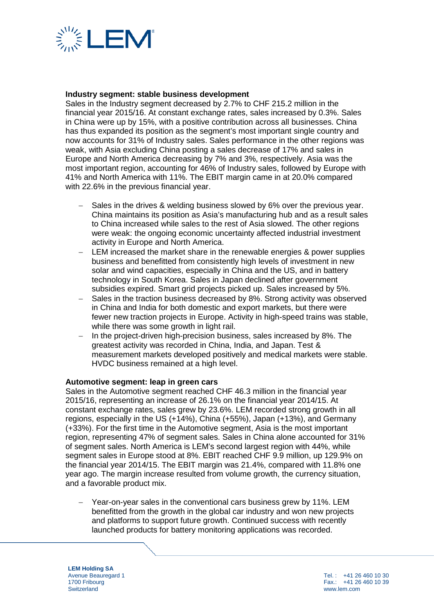

#### **Industry segment: stable business development**

Sales in the Industry segment decreased by 2.7% to CHF 215.2 million in the financial year 2015/16. At constant exchange rates, sales increased by 0.3%. Sales in China were up by 15%, with a positive contribution across all businesses. China has thus expanded its position as the segment's most important single country and now accounts for 31% of Industry sales. Sales performance in the other regions was weak, with Asia excluding China posting a sales decrease of 17% and sales in Europe and North America decreasing by 7% and 3%, respectively. Asia was the most important region, accounting for 46% of Industry sales, followed by Europe with 41% and North America with 11%. The EBIT margin came in at 20.0% compared with 22.6% in the previous financial year.

- − Sales in the drives & welding business slowed by 6% over the previous year. China maintains its position as Asia's manufacturing hub and as a result sales to China increased while sales to the rest of Asia slowed. The other regions were weak: the ongoing economic uncertainty affected industrial investment activity in Europe and North America.
- LEM increased the market share in the renewable energies & power supplies business and benefitted from consistently high levels of investment in new solar and wind capacities, especially in China and the US, and in battery technology in South Korea. Sales in Japan declined after government subsidies expired. Smart grid projects picked up. Sales increased by 5%.
- − Sales in the traction business decreased by 8%. Strong activity was observed in China and India for both domestic and export markets, but there were fewer new traction projects in Europe. Activity in high-speed trains was stable, while there was some growth in light rail.
- − In the project-driven high-precision business, sales increased by 8%. The greatest activity was recorded in China, India, and Japan. Test & measurement markets developed positively and medical markets were stable. HVDC business remained at a high level.

#### **Automotive segment: leap in green cars**

Sales in the Automotive segment reached CHF 46.3 million in the financial year 2015/16, representing an increase of 26.1% on the financial year 2014/15. At constant exchange rates, sales grew by 23.6%. LEM recorded strong growth in all regions, especially in the US (+14%), China (+55%), Japan (+13%), and Germany (+33%). For the first time in the Automotive segment, Asia is the most important region, representing 47% of segment sales. Sales in China alone accounted for 31% of segment sales. North America is LEM's second largest region with 44%, while segment sales in Europe stood at 8%. EBIT reached CHF 9.9 million, up 129.9% on the financial year 2014/15. The EBIT margin was 21.4%, compared with 11.8% one year ago. The margin increase resulted from volume growth, the currency situation, and a favorable product mix.

Year-on-year sales in the conventional cars business grew by 11%. LEM benefitted from the growth in the global car industry and won new projects and platforms to support future growth. Continued success with recently launched products for battery monitoring applications was recorded.

**LEM Holding SA** Avenue Beauregard 1 1700 Fribourg **Switzerland**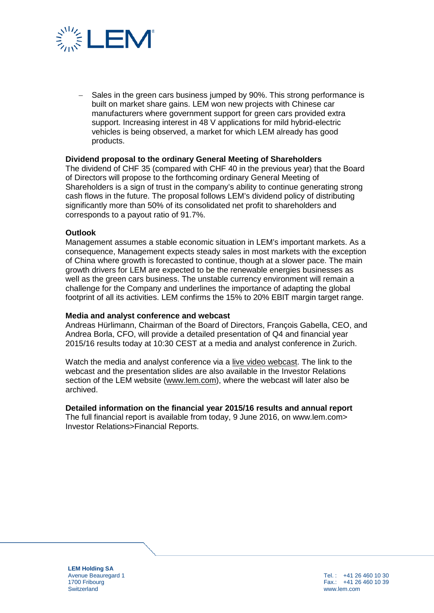

− Sales in the green cars business jumped by 90%. This strong performance is built on market share gains. LEM won new projects with Chinese car manufacturers where government support for green cars provided extra support. Increasing interest in 48 V applications for mild hybrid-electric vehicles is being observed, a market for which LEM already has good products.

#### **Dividend proposal to the ordinary General Meeting of Shareholders**

The dividend of CHF 35 (compared with CHF 40 in the previous year) that the Board of Directors will propose to the forthcoming ordinary General Meeting of Shareholders is a sign of trust in the company's ability to continue generating strong cash flows in the future. The proposal follows LEM's dividend policy of distributing significantly more than 50% of its consolidated net profit to shareholders and corresponds to a payout ratio of 91.7%.

#### **Outlook**

Management assumes a stable economic situation in LEM's important markets. As a consequence, Management expects steady sales in most markets with the exception of China where growth is forecasted to continue, though at a slower pace. The main growth drivers for LEM are expected to be the renewable energies businesses as well as the green cars business. The unstable currency environment will remain a challenge for the Company and underlines the importance of adapting the global footprint of all its activities. LEM confirms the 15% to 20% EBIT margin target range.

#### **Media and analyst conference and webcast**

Andreas Hürlimann, Chairman of the Board of Directors, François Gabella, CEO, and Andrea Borla, CFO, will provide a detailed presentation of Q4 and financial year 2015/16 results today at 10:30 CEST at a media and analyst conference in Zurich.

Watch the media and analyst conference via a [live video webcast.](http://services.choruscall.eu/links/lem160609.html) The link to the webcast and the presentation slides are also available in the Investor Relations section of the LEM website [\(www.lem.com\)](http://www.lem.com/), where the webcast will later also be archived.

#### **Detailed information on the financial year 2015/16 results and annual report**

The full financial report is available from today, 9 June 2016, on www.lem.com> Investor Relations>Financial Reports.

**LEM Holding SA** Avenue Beauregard 1 1700 Fribourg **Switzerland** 

Tel. : +41 26 460 10 30 Fax.: +41 26 460 10 39 www.lem.com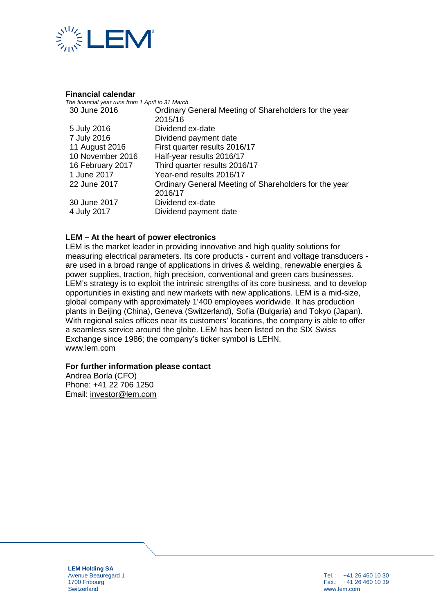

#### **Financial calendar**

| The financial year runs from 1 April to 31 March |                                                       |
|--------------------------------------------------|-------------------------------------------------------|
| 30 June 2016                                     | Ordinary General Meeting of Shareholders for the year |
|                                                  | 2015/16                                               |
| 5 July 2016                                      | Dividend ex-date                                      |
| 7 July 2016                                      | Dividend payment date                                 |
| 11 August 2016                                   | First quarter results 2016/17                         |
| 10 November 2016                                 | Half-year results 2016/17                             |
| 16 February 2017                                 | Third quarter results 2016/17                         |
| 1 June 2017                                      | Year-end results 2016/17                              |
| 22 June 2017                                     | Ordinary General Meeting of Shareholders for the year |
|                                                  | 2016/17                                               |
| 30 June 2017                                     | Dividend ex-date                                      |
| 4 July 2017                                      | Dividend payment date                                 |

### **LEM – At the heart of power electronics**

LEM is the market leader in providing innovative and high quality solutions for measuring electrical parameters. Its core products - current and voltage transducers are used in a broad range of applications in drives & welding, renewable energies & power supplies, traction, high precision, conventional and green cars businesses. LEM's strategy is to exploit the intrinsic strengths of its core business, and to develop opportunities in existing and new markets with new applications. LEM is a mid-size, global company with approximately 1'400 employees worldwide. It has production plants in Beijing (China), Geneva (Switzerland), Sofia (Bulgaria) and Tokyo (Japan). With regional sales offices near its customers' locations, the company is able to offer a seamless service around the globe. LEM has been listed on the SIX Swiss Exchange since 1986; the company's ticker symbol is LEHN. [www.lem.com](http://www.lem.com/)

#### **For further information please contact**

Andrea Borla (CFO) Phone: +41 22 706 1250 Email: [investor@lem.com](mailto:investor@lem.com)

**LEM Holding SA** Avenue Beauregard 1 1700 Fribourg **Switzerland**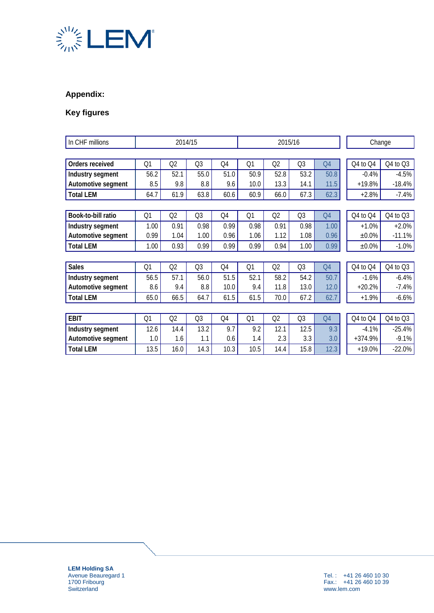

# **Appendix:**

# **Key figures**

| In CHF millions    | 2014/15        |                |                | 2015/16 |      |                |                | Change |           |          |
|--------------------|----------------|----------------|----------------|---------|------|----------------|----------------|--------|-----------|----------|
|                    |                |                |                |         |      |                |                |        |           |          |
| Orders received    | Q1             | Q2             | Q3             | Q4      | Q1   | Q2             | Q3             | Q4     | Q4 to Q4  | Q4 to Q3 |
| Industry segment   | 56.2           | 52.1           | 55.0           | 51.0    | 50.9 | 52.8           | 53.2           | 50.8   | $-0.4%$   | $-4.5%$  |
| Automotive segment | 8.5            | 9.8            | 8.8            | 9.6     | 10.0 | 13.3           | 14.1           | 11.5   | $+19.8%$  | $-18.4%$ |
| <b>Total LEM</b>   | 64.7           | 61.9           | 63.8           | 60.6    | 60.9 | 66.0           | 67.3           | 62.3   | $+2.8%$   | $-7.4%$  |
|                    |                |                |                |         |      |                |                |        |           |          |
| Book-to-bill ratio | Q <sub>1</sub> | Q <sub>2</sub> | Q3             | Q4      | Q1   | Q <sub>2</sub> | Q3             | Q4     | Q4 to Q4  | Q4 to Q3 |
| Industry segment   | 1.00           | 0.91           | 0.98           | 0.99    | 0.98 | 0.91           | 0.98           | 1.00   | $+1.0%$   | $+2.0%$  |
| Automotive segment | 0.99           | 1.04           | 1.00           | 0.96    | 1.06 | 1.12           | 1.08           | 0.96   | $±0.0\%$  | $-11.1%$ |
| <b>Total LEM</b>   | 1.00           | 0.93           | 0.99           | 0.99    | 0.99 | 0.94           | 1.00           | 0.99   | $±0.0\%$  | $-1.0%$  |
|                    |                |                |                |         |      |                |                |        |           |          |
| <b>Sales</b>       | Q1             | Q2             | Q3             | Q4      | Q1   | Q2             | Q3             | Q4     | Q4 to Q4  | Q4 to Q3 |
| Industry segment   | 56.5           | 57.1           | 56.0           | 51.5    | 52.1 | 58.2           | 54.2           | 50.7   | $-1.6%$   | $-6.4%$  |
| Automotive segment | 8.6            | 9.4            | 8.8            | 10.0    | 9.4  | 11.8           | 13.0           | 12.0   | $+20.2%$  | $-7.4%$  |
| <b>Total LEM</b>   | 65.0           | 66.5           | 64.7           | 61.5    | 61.5 | 70.0           | 67.2           | 62.7   | $+1.9%$   | $-6.6%$  |
|                    |                |                |                |         |      |                |                |        |           |          |
| <b>EBIT</b>        | Q <sub>1</sub> | Q2             | Q <sub>3</sub> | Q4      | Q1   | Q2             | Q <sub>3</sub> | Q4     | Q4 to Q4  | Q4 to Q3 |
| Industry segment   | 12.6           | 14.4           | 13.2           | 9.7     | 9.2  | 12.1           | 12.5           | 9.3    | $-4.1%$   | $-25.4%$ |
| Automotive segment | 1.0            | 1.6            | 1.1            | 0.6     | 1.4  | 2.3            | 3.3            | 3.0    | $+374.9%$ | $-9.1%$  |
| <b>Total LEM</b>   | 13.5           | 16.0           | 14.3           | 10.3    | 10.5 | 14.4           | 15.8           | 12.3   | $+19.0%$  | $-22.0%$ |